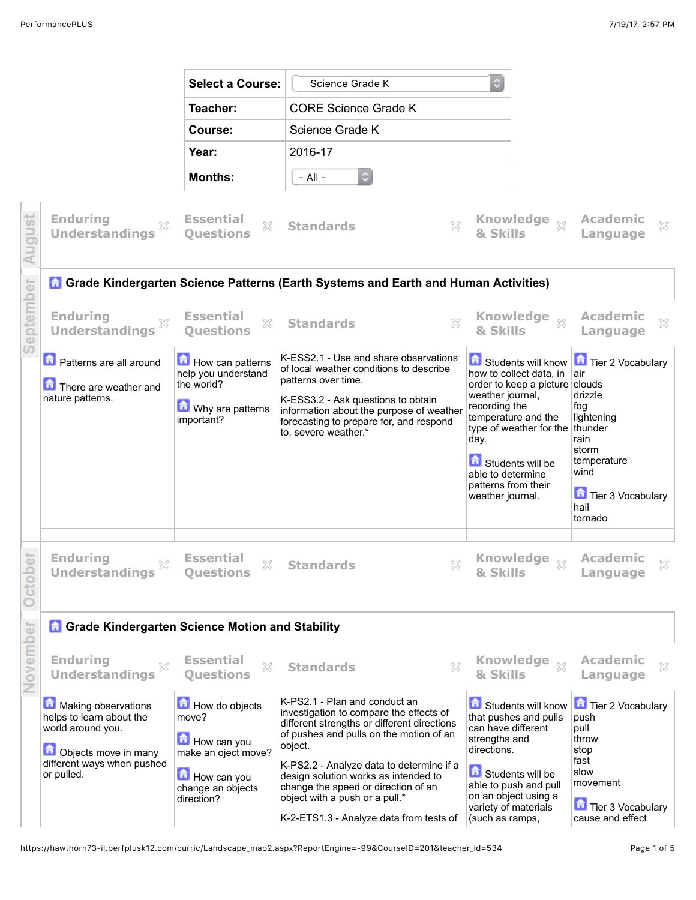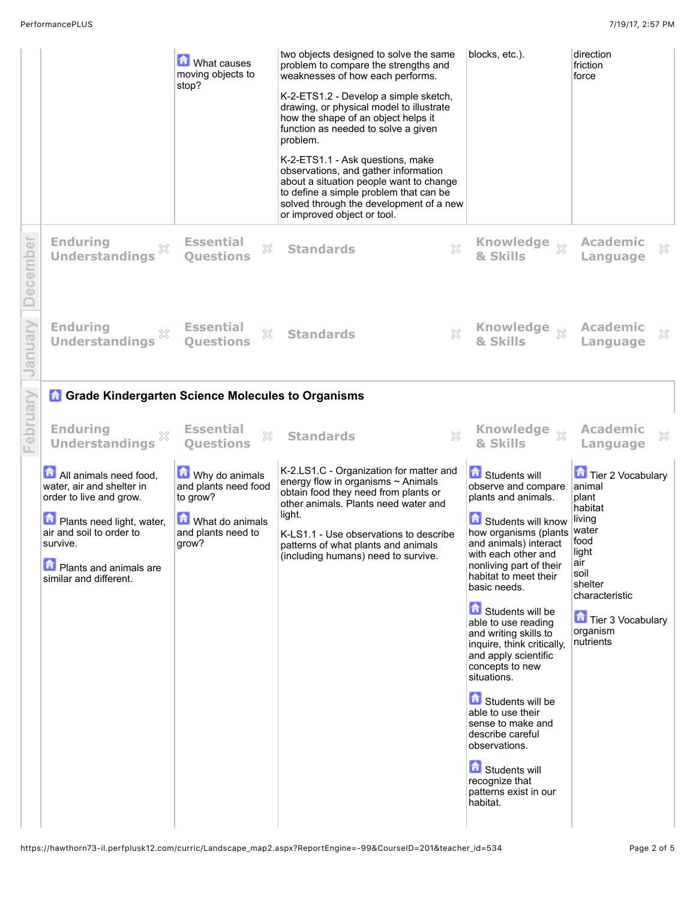|          |                                                                                                                                                                                                                  | <b>M</b> What causes<br>moving objects to<br>stop?                                                   | two objects designed to solve the same<br>problem to compare the strengths and<br>weaknesses of how each performs.<br>K-2-ETS1.2 - Develop a simple sketch,<br>drawing, or physical model to illustrate<br>how the shape of an object helps it<br>function as needed to solve a given<br>problem.<br>K-2-ETS1.1 - Ask questions, make<br>observations, and gather information<br>about a situation people want to change<br>to define a simple problem that can be<br>solved through the development of a new<br>or improved object or tool. | blocks, etc.).                                                                                                                                                                                                                                                                                                                                                                                                                                                                                                                                                                          | direction<br>friction<br>force                                                                                                                                                |
|----------|------------------------------------------------------------------------------------------------------------------------------------------------------------------------------------------------------------------|------------------------------------------------------------------------------------------------------|----------------------------------------------------------------------------------------------------------------------------------------------------------------------------------------------------------------------------------------------------------------------------------------------------------------------------------------------------------------------------------------------------------------------------------------------------------------------------------------------------------------------------------------------|-----------------------------------------------------------------------------------------------------------------------------------------------------------------------------------------------------------------------------------------------------------------------------------------------------------------------------------------------------------------------------------------------------------------------------------------------------------------------------------------------------------------------------------------------------------------------------------------|-------------------------------------------------------------------------------------------------------------------------------------------------------------------------------|
| December | <b>Enduring</b><br>X<br><b>Understandings</b>                                                                                                                                                                    | <b>Essential</b><br>×<br><b>Questions</b>                                                            | X<br><b>Standards</b>                                                                                                                                                                                                                                                                                                                                                                                                                                                                                                                        | <b>Knowledge</b><br>$\chi$<br>& Skills                                                                                                                                                                                                                                                                                                                                                                                                                                                                                                                                                  | <b>Academic</b><br>X<br>Language                                                                                                                                              |
| anuary   | <b>Enduring</b><br><b>Understandings</b>                                                                                                                                                                         | <b>Essential</b><br>X<br><b>Questions</b>                                                            | $\chi$<br><b>Standards</b>                                                                                                                                                                                                                                                                                                                                                                                                                                                                                                                   | <b>Knowledge</b><br>$\chi$<br>& Skills                                                                                                                                                                                                                                                                                                                                                                                                                                                                                                                                                  | <b>Academic</b><br>X<br>Language                                                                                                                                              |
|          | <b>Grade Kindergarten Science Molecules to Organisms</b>                                                                                                                                                         |                                                                                                      |                                                                                                                                                                                                                                                                                                                                                                                                                                                                                                                                              |                                                                                                                                                                                                                                                                                                                                                                                                                                                                                                                                                                                         |                                                                                                                                                                               |
| February | <b>Enduring</b><br><b>Understandings</b>                                                                                                                                                                         | <b>Essential</b><br>X<br><b>Questions</b>                                                            | X<br><b>Standards</b>                                                                                                                                                                                                                                                                                                                                                                                                                                                                                                                        | <b>Knowledge</b><br>$\chi$<br>& Skills                                                                                                                                                                                                                                                                                                                                                                                                                                                                                                                                                  | <b>Academic</b><br>×<br>Language                                                                                                                                              |
|          | All animals need food,<br>water, air and shelter in<br>order to live and grow.<br>Plants need light, water,<br>air and soil to order to<br>survive.<br><b>D</b> Plants and animals are<br>similar and different. | Why do animals<br>and plants need food<br>to grow?<br>What do animals<br>and plants need to<br>grow? | K-2.LS1.C - Organization for matter and<br>energy flow in organisms $\sim$ Animals<br>obtain food they need from plants or<br>other animals. Plants need water and<br>light.<br>K-LS1.1 - Use observations to describe<br>patterns of what plants and animals<br>(including humans) need to survive.                                                                                                                                                                                                                                         | <b>G</b> Students will<br>observe and compare<br>plants and animals.<br>Students will know<br>how organisms (plants<br>and animals) interact<br>with each other and<br>nonliving part of their<br>habitat to meet their<br>basic needs.<br>Students will be<br>able to use reading<br>and writing skills to<br>inquire, think critically,<br>and apply scientific<br>concepts to new<br>situations.<br>Students will be<br>able to use their<br>sense to make and<br>describe careful<br>observations.<br><b>G</b> Students will<br>recognize that<br>patterns exist in our<br>habitat. | Tier 2 Vocabulary<br>animal<br>plant<br>habitat<br>living<br>water<br>food<br>light<br>air<br>soil<br>shelter<br>characteristic<br>Tier 3 Vocabulary<br>organism<br>nutrients |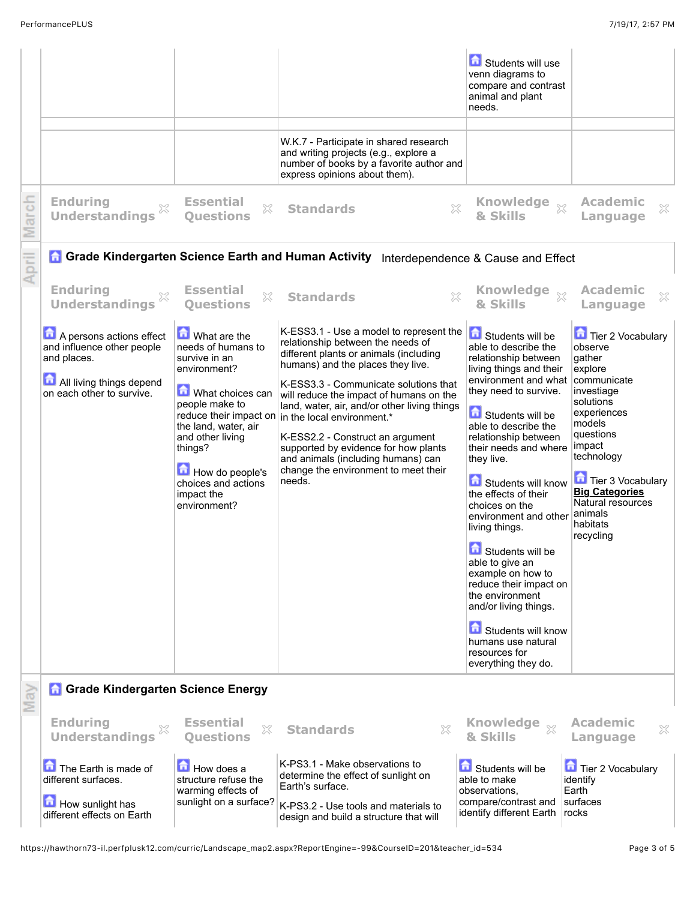|                                                   |                                                                                               |                                                                                                                                                                                             | W.K.7 - Participate in shared research<br>and writing projects (e.g., explore a<br>number of books by a favorite author and                                                                                                                                                                                                        | Students will use<br>venn diagrams to<br>compare and contrast<br>animal and plant<br>needs.                                                                                                                                                                                                                                                                                                                                                                                                             |                                                                                                                                                                                              |
|---------------------------------------------------|-----------------------------------------------------------------------------------------------|---------------------------------------------------------------------------------------------------------------------------------------------------------------------------------------------|------------------------------------------------------------------------------------------------------------------------------------------------------------------------------------------------------------------------------------------------------------------------------------------------------------------------------------|---------------------------------------------------------------------------------------------------------------------------------------------------------------------------------------------------------------------------------------------------------------------------------------------------------------------------------------------------------------------------------------------------------------------------------------------------------------------------------------------------------|----------------------------------------------------------------------------------------------------------------------------------------------------------------------------------------------|
| March                                             | <b>Enduring</b><br>X<br><b>Understandings</b>                                                 | <b>Essential</b><br>X<br><b>Questions</b>                                                                                                                                                   | express opinions about them).<br>X<br><b>Standards</b>                                                                                                                                                                                                                                                                             | Knowledge xx<br>& Skills                                                                                                                                                                                                                                                                                                                                                                                                                                                                                | <b>Academic</b><br>×<br>Language                                                                                                                                                             |
| April                                             |                                                                                               |                                                                                                                                                                                             | Grade Kindergarten Science Earth and Human Activity Interdependence & Cause and Effect                                                                                                                                                                                                                                             |                                                                                                                                                                                                                                                                                                                                                                                                                                                                                                         |                                                                                                                                                                                              |
|                                                   | <b>Enduring</b><br>X<br><b>Understandings</b>                                                 | <b>Essential</b><br>X<br><b>Ouestions</b>                                                                                                                                                   | X<br><b>Standards</b>                                                                                                                                                                                                                                                                                                              | Knowledge xx<br>& Skills                                                                                                                                                                                                                                                                                                                                                                                                                                                                                | <b>Academic</b><br>X<br>Language                                                                                                                                                             |
|                                                   | A persons actions effect<br>and influence other people<br>and places.                         | What are the<br>needs of humans to<br>survive in an<br>environment?                                                                                                                         | K-ESS3.1 - Use a model to represent the $\ \bullet\ $ Students will be<br>relationship between the needs of<br>different plants or animals (including<br>humans) and the places they live.                                                                                                                                         | able to describe the<br>relationship between<br>living things and their                                                                                                                                                                                                                                                                                                                                                                                                                                 | <b>Tier 2 Vocabulary</b><br>observe<br>gather<br>explore                                                                                                                                     |
|                                                   | All living things depend<br>on each other to survive.                                         | What choices can<br>people make to<br>reduce their impact on<br>the land, water, air<br>and other living<br>things?<br>How do people's<br>choices and actions<br>impact the<br>environment? | K-ESS3.3 - Communicate solutions that<br>will reduce the impact of humans on the<br>land, water, air, and/or other living things<br>in the local environment.*<br>K-ESS2.2 - Construct an argument<br>supported by evidence for how plants<br>and animals (including humans) can<br>change the environment to meet their<br>needs. | environment and what   communicate<br>they need to survive.<br>Students will be<br>able to describe the<br>relationship between<br>their needs and where<br>they live.<br>Students will know<br>the effects of their<br>choices on the<br>environment and other<br>living things.<br>Students will be<br>able to give an<br>example on how to<br>reduce their impact on<br>the environment<br>and/or living things.<br>Students will know<br>humans use natural<br>resources for<br>everything they do. | investiage<br>solutions<br>experiences<br>models<br>questions<br>impact<br>technology<br>Tier 3 Vocabulary<br><b>Big Categories</b><br>Natural resources<br>animals<br>habitats<br>recycling |
| <b>A Grade Kindergarten Science Energy</b><br>May |                                                                                               |                                                                                                                                                                                             |                                                                                                                                                                                                                                                                                                                                    |                                                                                                                                                                                                                                                                                                                                                                                                                                                                                                         |                                                                                                                                                                                              |
|                                                   | <b>Enduring</b><br><b>Understandings</b>                                                      | <b>Essential</b><br>X<br><b>Questions</b>                                                                                                                                                   | ×<br><b>Standards</b>                                                                                                                                                                                                                                                                                                              | <b>Knowledge</b><br>$\mathbb{X}$<br>& Skills                                                                                                                                                                                                                                                                                                                                                                                                                                                            | <b>Academic</b><br>X<br>Language                                                                                                                                                             |
|                                                   | The Earth is made of<br>different surfaces.<br>How sunlight has<br>different effects on Earth | <b>How does a</b><br>structure refuse the<br>warming effects of<br>sunlight on a surface?                                                                                                   | K-PS3.1 - Make observations to<br>determine the effect of sunlight on<br>Earth's surface.<br>K-PS3.2 - Use tools and materials to<br>design and build a structure that will                                                                                                                                                        | Students will be<br>able to make<br>observations.<br>compare/contrast and<br>identify different Earth                                                                                                                                                                                                                                                                                                                                                                                                   | Tier 2 Vocabulary<br>identify<br>Earth<br>surfaces<br>rocks                                                                                                                                  |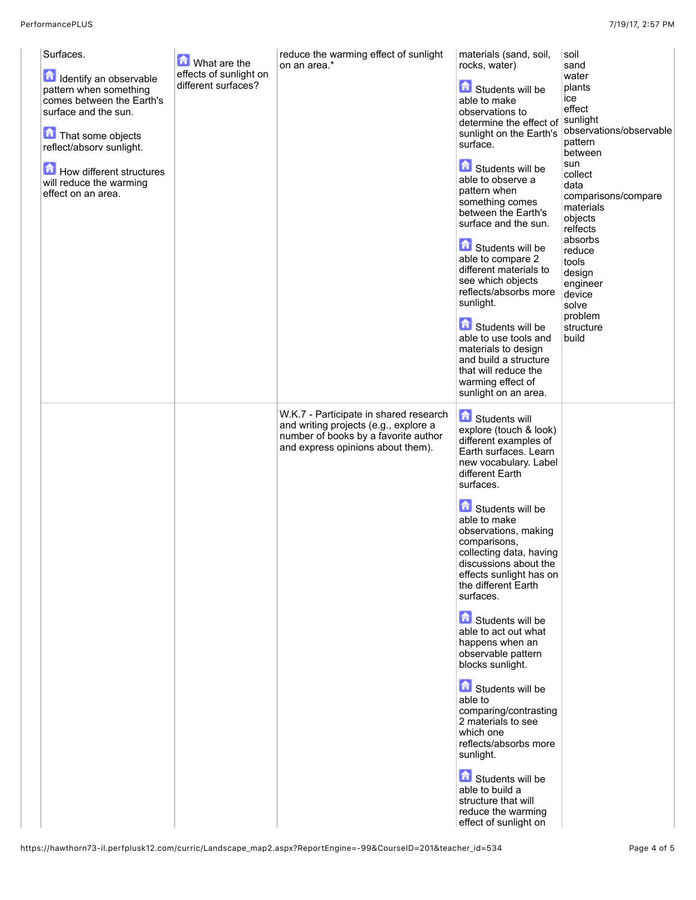| Surfaces.<br>Identify an observable<br>pattern when something<br>comes between the Earth's<br>surface and the sun.<br>That some objects<br>reflect/absorv sunlight.<br>How different structures<br>will reduce the warming<br>effect on an area. | What are the<br>effects of sunlight on<br>different surfaces? | reduce the warming effect of sunlight<br>on an area.*                                                                                                        | materials (sand, soil,<br>rocks, water)<br>Students will be<br>able to make<br>observations to<br>determine the effect of<br>sunlight on the Earth's<br>surface.<br>Students will be<br>able to observe a<br>pattern when<br>something comes<br>between the Earth's<br>surface and the sun.<br>Students will be<br>able to compare 2<br>different materials to<br>see which objects<br>reflects/absorbs more<br>sunlight.<br>Students will be<br>able to use tools and<br>materials to design<br>and build a structure<br>that will reduce the<br>warming effect of<br>sunlight on an area.                                                                                                                                            | soil<br>sand<br>water<br>plants<br>ice<br>effect<br>sunlight<br>observations/observable<br>pattern<br>between<br>sun<br>collect<br>data<br>comparisons/compare<br>materials<br>objects<br>relfects<br>absorbs<br>reduce<br>tools<br>design<br>engineer<br>device<br>solve<br>problem<br>structure<br>build |
|--------------------------------------------------------------------------------------------------------------------------------------------------------------------------------------------------------------------------------------------------|---------------------------------------------------------------|--------------------------------------------------------------------------------------------------------------------------------------------------------------|----------------------------------------------------------------------------------------------------------------------------------------------------------------------------------------------------------------------------------------------------------------------------------------------------------------------------------------------------------------------------------------------------------------------------------------------------------------------------------------------------------------------------------------------------------------------------------------------------------------------------------------------------------------------------------------------------------------------------------------|------------------------------------------------------------------------------------------------------------------------------------------------------------------------------------------------------------------------------------------------------------------------------------------------------------|
|                                                                                                                                                                                                                                                  |                                                               | W.K.7 - Participate in shared research<br>and writing projects (e.g., explore a<br>number of books by a favorite author<br>and express opinions about them). | <b>G</b> Students will<br>explore (touch & look)<br>different examples of<br>Earth surfaces. Learn<br>new vocabulary. Label<br>different Earth<br>surfaces.<br>Students will be<br>able to make<br>observations, making<br>comparisons,<br>collecting data, having<br>discussions about the<br>effects sunlight has on<br>the different Earth<br>surfaces.<br><b>fol</b> Students will be<br>able to act out what<br>happens when an<br>observable pattern<br>blocks sunlight.<br><b>fo</b> Students will be<br>able to<br>comparing/contrasting<br>2 materials to see<br>which one<br>reflects/absorbs more<br>sunlight.<br>Students will be<br>able to build a<br>structure that will<br>reduce the warming<br>effect of sunlight on |                                                                                                                                                                                                                                                                                                            |